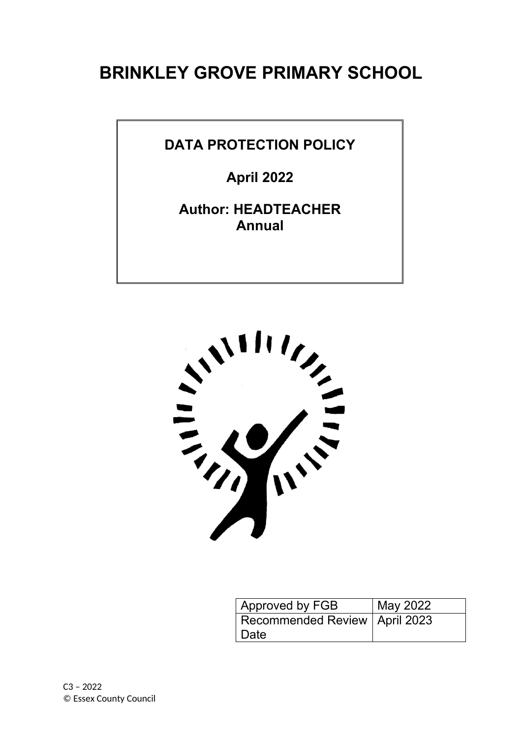## **BRINKLEY GROVE PRIMARY SCHOOL**

#### **DATA PROTECTION POLICY**

**April 2022**

**Author: HEADTEACHER Annual**



| Approved by FGB                 | May 2022 |
|---------------------------------|----------|
| Recommended Review   April 2023 |          |
| Date                            |          |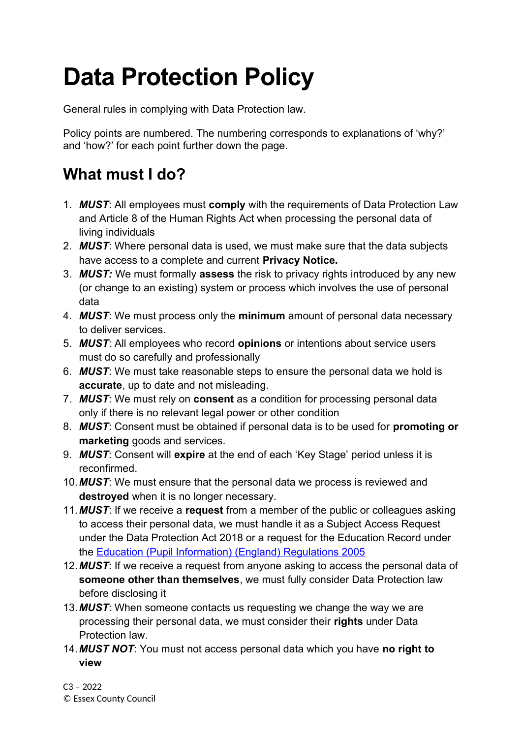# **Data Protection Policy**

General rules in complying with Data Protection law.

Policy points are numbered. The numbering corresponds to explanations of 'why?' and 'how?' for each point further down the page.

### **What must I do?**

- 1. *MUST*: All employees must **comply** with the requirements of Data Protection Law and Article 8 of the Human Rights Act when processing the personal data of living individuals
- 2. *MUST*: Where personal data is used, we must make sure that the data subjects have access to a complete and current **Privacy Notice.**
- 3. *MUST:* We must formally **assess** the risk to privacy rights introduced by any new (or change to an existing) system or process which involves the use of personal data
- 4. *MUST*: We must process only the **minimum** amount of personal data necessary to deliver services.
- 5. *MUST*: All employees who record **opinions** or intentions about service users must do so carefully and professionally
- 6. *MUST*: We must take reasonable steps to ensure the personal data we hold is **accurate**, up to date and not misleading.
- 7. *MUST*: We must rely on **consent** as a condition for processing personal data only if there is no relevant legal power or other condition
- 8. *MUST*: Consent must be obtained if personal data is to be used for **promoting or marketing** goods and services.
- 9. *MUST*: Consent will **expire** at the end of each 'Key Stage' period unless it is reconfirmed.
- 10.*MUST*: We must ensure that the personal data we process is reviewed and **destroyed** when it is no longer necessary.
- 11.*MUST*: If we receive a **request** from a member of the public or colleagues asking to access their personal data, we must handle it as a Subject Access Request under the Data Protection Act 2018 or a request for the Education Record under the [Education \(Pupil Information\) \(England\) Regulations 2005](http://www.legislation.gov.uk/uksi/2005/1437/pdfs/uksi_20051437_en.pdf)
- 12.*MUST*: If we receive a request from anyone asking to access the personal data of **someone other than themselves**, we must fully consider Data Protection law before disclosing it
- 13.*MUST*: When someone contacts us requesting we change the way we are processing their personal data, we must consider their **rights** under Data Protection law.
- 14.*MUST NOT*: You must not access personal data which you have **no right to view**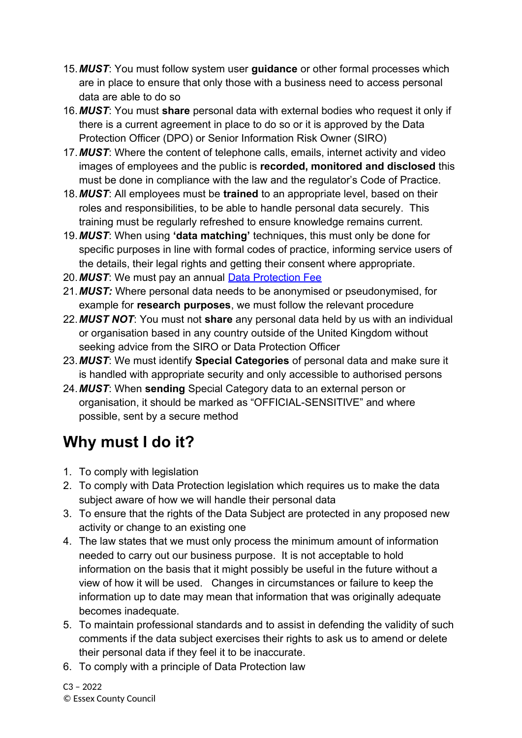- 15.*MUST*: You must follow system user **guidance** or other formal processes which are in place to ensure that only those with a business need to access personal data are able to do so
- 16.*MUST*: You must **share** personal data with external bodies who request it only if there is a current agreement in place to do so or it is approved by the Data Protection Officer (DPO) or Senior Information Risk Owner (SIRO)
- 17.*MUST*: Where the content of telephone calls, emails, internet activity and video images of employees and the public is **recorded, monitored and disclosed** this must be done in compliance with the law and the regulator's Code of Practice.
- 18.*MUST*: All employees must be **trained** to an appropriate level, based on their roles and responsibilities, to be able to handle personal data securely. This training must be regularly refreshed to ensure knowledge remains current.
- 19.*MUST*: When using **'data matching'** techniques, this must only be done for specific purposes in line with formal codes of practice, informing service users of the details, their legal rights and getting their consent where appropriate.
- 20.*MUST*: We must pay an annual [Data Protection Fee](https://ico.org.uk/for-organisations/data-protection-fee/)
- 21.*MUST:* Where personal data needs to be anonymised or pseudonymised, for example for **research purposes**, we must follow the relevant procedure
- 22.*MUST NOT*: You must not **share** any personal data held by us with an individual or organisation based in any country outside of the United Kingdom without seeking advice from the SIRO or Data Protection Officer
- 23.*MUST*: We must identify **Special Categories** of personal data and make sure it is handled with appropriate security and only accessible to authorised persons
- 24.*MUST*: When **sending** Special Category data to an external person or organisation, it should be marked as "OFFICIAL-SENSITIVE" and where possible, sent by a secure method

## **Why must I do it?**

- 1. To comply with legislation
- 2. To comply with Data Protection legislation which requires us to make the data subject aware of how we will handle their personal data
- 3. To ensure that the rights of the Data Subject are protected in any proposed new activity or change to an existing one
- 4. The law states that we must only process the minimum amount of information needed to carry out our business purpose. It is not acceptable to hold information on the basis that it might possibly be useful in the future without a view of how it will be used. Changes in circumstances or failure to keep the information up to date may mean that information that was originally adequate becomes inadequate.
- 5. To maintain professional standards and to assist in defending the validity of such comments if the data subject exercises their rights to ask us to amend or delete their personal data if they feel it to be inaccurate.
- 6. To comply with a principle of Data Protection law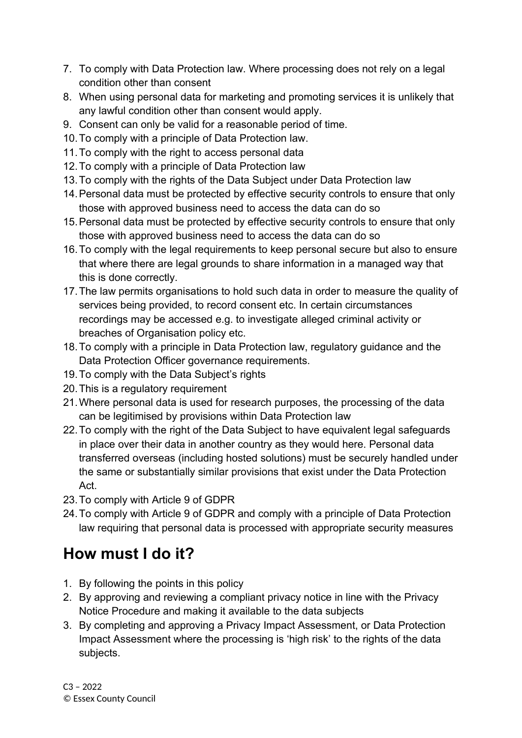- 7. To comply with Data Protection law. Where processing does not rely on a legal condition other than consent
- 8. When using personal data for marketing and promoting services it is unlikely that any lawful condition other than consent would apply.
- 9. Consent can only be valid for a reasonable period of time.
- 10.To comply with a principle of Data Protection law.
- 11.To comply with the right to access personal data
- 12.To comply with a principle of Data Protection law
- 13.To comply with the rights of the Data Subject under Data Protection law
- 14.Personal data must be protected by effective security controls to ensure that only those with approved business need to access the data can do so
- 15.Personal data must be protected by effective security controls to ensure that only those with approved business need to access the data can do so
- 16.To comply with the legal requirements to keep personal secure but also to ensure that where there are legal grounds to share information in a managed way that this is done correctly.
- 17.The law permits organisations to hold such data in order to measure the quality of services being provided, to record consent etc. In certain circumstances recordings may be accessed e.g. to investigate alleged criminal activity or breaches of Organisation policy etc.
- 18.To comply with a principle in Data Protection law, regulatory guidance and the Data Protection Officer governance requirements.
- 19.To comply with the Data Subject's rights
- 20.This is a regulatory requirement
- 21.Where personal data is used for research purposes, the processing of the data can be legitimised by provisions within Data Protection law
- 22.To comply with the right of the Data Subject to have equivalent legal safeguards in place over their data in another country as they would here. Personal data transferred overseas (including hosted solutions) must be securely handled under the same or substantially similar provisions that exist under the Data Protection Act.
- 23.To comply with Article 9 of GDPR
- 24.To comply with Article 9 of GDPR and comply with a principle of Data Protection law requiring that personal data is processed with appropriate security measures

## **How must I do it?**

- 1. By following the points in this policy
- 2. By approving and reviewing a compliant privacy notice in line with the Privacy Notice Procedure and making it available to the data subjects
- 3. By completing and approving a Privacy Impact Assessment, or Data Protection Impact Assessment where the processing is 'high risk' to the rights of the data subjects.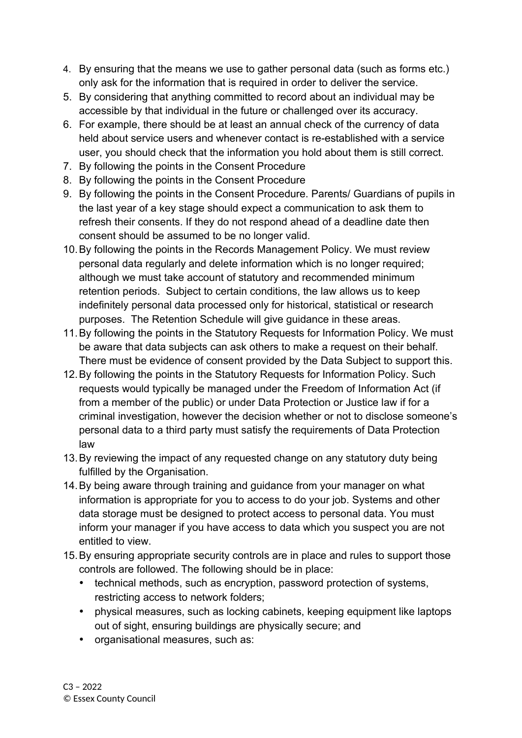- 4. By ensuring that the means we use to gather personal data (such as forms etc.) only ask for the information that is required in order to deliver the service.
- 5. By considering that anything committed to record about an individual may be accessible by that individual in the future or challenged over its accuracy.
- 6. For example, there should be at least an annual check of the currency of data held about service users and whenever contact is re-established with a service user, you should check that the information you hold about them is still correct.
- 7. By following the points in the Consent Procedure
- 8. By following the points in the Consent Procedure
- 9. By following the points in the Consent Procedure. Parents/ Guardians of pupils in the last year of a key stage should expect a communication to ask them to refresh their consents. If they do not respond ahead of a deadline date then consent should be assumed to be no longer valid.
- 10.By following the points in the Records Management Policy. We must review personal data regularly and delete information which is no longer required; although we must take account of statutory and recommended minimum retention periods. Subject to certain conditions, the law allows us to keep indefinitely personal data processed only for historical, statistical or research purposes. The Retention Schedule will give guidance in these areas.
- 11.By following the points in the Statutory Requests for Information Policy. We must be aware that data subjects can ask others to make a request on their behalf. There must be evidence of consent provided by the Data Subject to support this.
- 12.By following the points in the Statutory Requests for Information Policy. Such requests would typically be managed under the Freedom of Information Act (if from a member of the public) or under Data Protection or Justice law if for a criminal investigation, however the decision whether or not to disclose someone's personal data to a third party must satisfy the requirements of Data Protection law
- 13.By reviewing the impact of any requested change on any statutory duty being fulfilled by the Organisation.
- 14.By being aware through training and guidance from your manager on what information is appropriate for you to access to do your job. Systems and other data storage must be designed to protect access to personal data. You must inform your manager if you have access to data which you suspect you are not entitled to view.
- 15.By ensuring appropriate security controls are in place and rules to support those controls are followed. The following should be in place:
	- technical methods, such as encryption, password protection of systems, restricting access to network folders;
	- physical measures, such as locking cabinets, keeping equipment like laptops out of sight, ensuring buildings are physically secure; and
	- organisational measures, such as: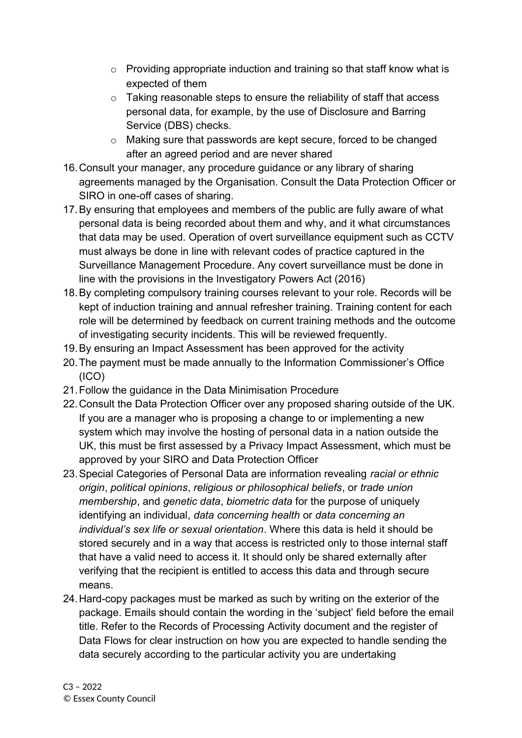- o Providing appropriate induction and training so that staff know what is expected of them
- o Taking reasonable steps to ensure the reliability of staff that access personal data, for example, by the use of Disclosure and Barring Service (DBS) checks.
- o Making sure that passwords are kept secure, forced to be changed after an agreed period and are never shared
- 16.Consult your manager, any procedure guidance or any library of sharing agreements managed by the Organisation. Consult the Data Protection Officer or SIRO in one-off cases of sharing.
- 17.By ensuring that employees and members of the public are fully aware of what personal data is being recorded about them and why, and it what circumstances that data may be used. Operation of overt surveillance equipment such as CCTV must always be done in line with relevant codes of practice captured in the Surveillance Management Procedure. Any covert surveillance must be done in line with the provisions in the Investigatory Powers Act (2016)
- 18.By completing compulsory training courses relevant to your role. Records will be kept of induction training and annual refresher training. Training content for each role will be determined by feedback on current training methods and the outcome of investigating security incidents. This will be reviewed frequently.
- 19.By ensuring an Impact Assessment has been approved for the activity
- 20.The payment must be made annually to the Information Commissioner's Office (ICO)
- 21.Follow the guidance in the Data Minimisation Procedure
- 22.Consult the Data Protection Officer over any proposed sharing outside of the UK. If you are a manager who is proposing a change to or implementing a new system which may involve the hosting of personal data in a nation outside the UK, this must be first assessed by a Privacy Impact Assessment, which must be approved by your SIRO and Data Protection Officer
- 23.Special Categories of Personal Data are information revealing *racial or ethnic origin*, *political opinions*, *religious or philosophical beliefs*, or *trade union membership*, and *genetic data*, *biometric data* for the purpose of uniquely identifying an individual, *data concerning health* or *data concerning an individual's sex life or sexual orientation*. Where this data is held it should be stored securely and in a way that access is restricted only to those internal staff that have a valid need to access it. It should only be shared externally after verifying that the recipient is entitled to access this data and through secure means.
- 24.Hard-copy packages must be marked as such by writing on the exterior of the package. Emails should contain the wording in the 'subject' field before the email title. Refer to the Records of Processing Activity document and the register of Data Flows for clear instruction on how you are expected to handle sending the data securely according to the particular activity you are undertaking